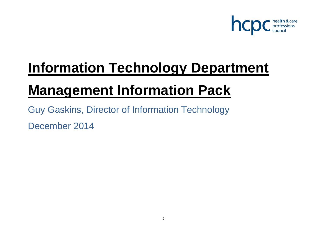

# **Information Technology Department**

# **Management Information Pack**

Guy Gaskins, Director of Information Technology December 2014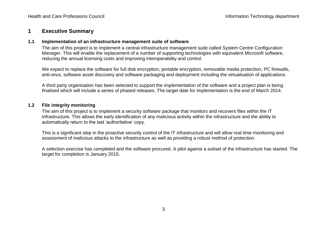### **1 Executive Summary**

#### **1.1 Implementation of an infrastructure management suite of software**

The aim of this project is to implement a central infrastructure management suite called System Centre Configuration Manager. This will enable the replacement of a number of supporting technologies with equivalent Microsoft software, reducing the annual licensing costs and improving interoperability and control.

We expect to replace the software for full disk encryption, portable encryption, removable media protection, PC firewalls, anti-virus, software asset discovery and software packaging and deployment including the virtualisation of applications.

A third party organisation has been selected to support the implementation of the software and a project plan is being finalised which will include a series of phased releases. The target date for implementation is the end of March 2014.

#### **1.2 File integrity monitoring**

The aim of this project is to implement a security software package that monitors and recovers files within the IT infrastructure. This allows the early identification of any malicious activity within the infrastructure and the ability to automatically return to the last 'authoritative' copy.

This is a significant step in the proactive security control of the IT infrastructure and will allow real time monitoring and assessment of malicious attacks to the infrastructure as well as providing a robust method of protection.

A selection exercise has completed and the software procured. A pilot against a subset of the infrastructure has started. The target for completion is January 2015.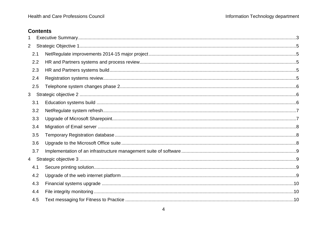# **Contents**

| $\overline{2}$  |     |  |
|-----------------|-----|--|
|                 | 2.1 |  |
|                 | 2.2 |  |
|                 | 2.3 |  |
|                 | 2.4 |  |
|                 | 2.5 |  |
| 3 <sup>1</sup>  |     |  |
|                 | 3.1 |  |
|                 | 3.2 |  |
|                 | 3.3 |  |
|                 | 3.4 |  |
|                 | 3.5 |  |
|                 | 3.6 |  |
|                 | 3.7 |  |
| $4\overline{ }$ |     |  |
|                 | 4.1 |  |
|                 | 4.2 |  |
|                 | 4.3 |  |
|                 | 4.4 |  |
|                 | 4.5 |  |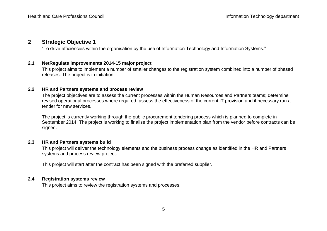# **2 Strategic Objective 1**

"To drive efficiencies within the organisation by the use of Information Technology and Information Systems."

#### **2.1 NetRegulate improvements 2014-15 major project**

This project aims to implement a number of smaller changes to the registration system combined into a number of phased releases. The project is in initiation.

#### **2.2 HR and Partners systems and process review**

The project objectives are to assess the current processes within the Human Resources and Partners teams; determine revised operational processes where required; assess the effectiveness of the current IT provision and if necessary run a tender for new services.

The project is currently working through the public procurement tendering process which is planned to complete in September 2014. The project is working to finalise the project implementation plan from the vendor before contracts can be signed.

#### **2.3 HR and Partners systems build**

This project will deliver the technology elements and the business process change as identified in the HR and Partners systems and process review project.

This project will start after the contract has been signed with the preferred supplier.

#### **2.4 Registration systems review**

This project aims to review the registration systems and processes.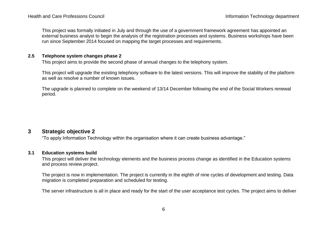This project was formally initiated in July and through the use of a government framework agreement has appointed an external business analyst to begin the analysis of the registration processes and systems. Business workshops have been run since September 2014 focused on mapping the target processes and requirements.

#### **2.5 Telephone system changes phase 2**

This project aims to provide the second phase of annual changes to the telephony system.

This project will upgrade the existing telephony software to the latest versions. This will improve the stability of the platform as well as resolve a number of known issues.

The upgrade is planned to complete on the weekend of 13/14 December following the end of the Social Workers renewal period.

# **3 Strategic objective 2**

"To apply Information Technology within the organisation where it can create business advantage."

#### **3.1 Education systems build**

This project will deliver the technology elements and the business process change as identified in the Education systems and process review project.

The project is now in implementation. The project is currently in the eighth of nine cycles of development and testing. Data migration is completed preparation and scheduled for testing.

The server infrastructure is all in place and ready for the start of the user acceptance test cycles. The project aims to deliver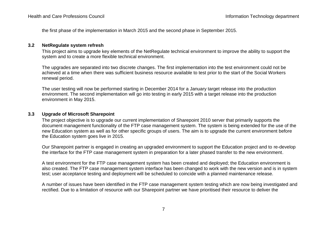the first phase of the implementation in March 2015 and the second phase in September 2015.

#### **3.2 NetRegulate system refresh**

This project aims to upgrade key elements of the NetRegulate technical environment to improve the ability to support the system and to create a more flexible technical environment.

The upgrades are separated into two discrete changes. The first implementation into the test environment could not be achieved at a time when there was sufficient business resource available to test prior to the start of the Social Workers renewal period.

The user testing will now be performed starting in December 2014 for a January target release into the production environment. The second implementation will go into testing in early 2015 with a target release into the production environment in May 2015.

#### **3.3 Upgrade of Microsoft Sharepoint**

The project objective is to upgrade our current implementation of Sharepoint 2010 server that primarily supports the document management functionality of the FTP case management system. The system is being extended for the use of the new Education system as well as for other specific groups of users. The aim is to upgrade the current environment before the Education system goes live in 2015.

Our Sharepoint partner is engaged in creating an upgraded environment to support the Education project and to re-develop the interface for the FTP case management system in preparation for a later phased transfer to the new environment.

A test environment for the FTP case management system has been created and deployed; the Education environment is also created. The FTP case management system interface has been changed to work with the new version and is in system test; user acceptance testing and deployment will be scheduled to coincide with a planned maintenance release.

A number of issues have been identified in the FTP case management system testing which are now being investigated and rectified. Due to a limitation of resource with our Sharepoint partner we have prioritised their resource to deliver the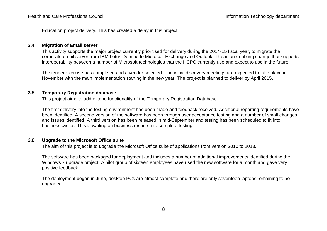Education project delivery. This has created a delay in this project.

#### **3.4 Migration of Email server**

This activity supports the major project currently prioritised for delivery during the 2014-15 fiscal year, to migrate the corporate email server from IBM Lotus Domino to Microsoft Exchange and Outlook. This is an enabling change that supports interoperability between a number of Microsoft technologies that the HCPC currently use and expect to use in the future.

The tender exercise has completed and a vendor selected. The initial discovery meetings are expected to take place in November with the main implementation starting in the new year. The project is planned to deliver by April 2015.

#### **3.5 Temporary Registration database**

This project aims to add extend functionality of the Temporary Registration Database.

The first delivery into the testing environment has been made and feedback received. Additional reporting requirements have been identified. A second version of the software has been through user acceptance testing and a number of small changes and issues identified. A third version has been released in mid-September and testing has been scheduled to fit into business cycles. This is waiting on business resource to complete testing.

#### **3.6 Upgrade to the Microsoft Office suite**

The aim of this project is to upgrade the Microsoft Office suite of applications from version 2010 to 2013.

The software has been packaged for deployment and includes a number of additional improvements identified during the Windows 7 upgrade project. A pilot group of sixteen employees have used the new software for a month and gave very positive feedback.

The deployment began in June, desktop PCs are almost complete and there are only seventeen laptops remaining to be upgraded.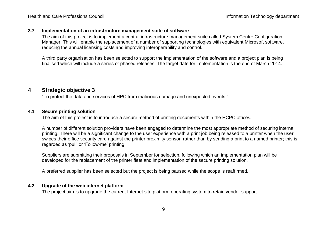#### **3.7 Implementation of an infrastructure management suite of software**

The aim of this project is to implement a central infrastructure management suite called System Centre Configuration Manager. This will enable the replacement of a number of supporting technologies with equivalent Microsoft software, reducing the annual licensing costs and improving interoperability and control.

A third party organisation has been selected to support the implementation of the software and a project plan is being finalised which will include a series of phased releases. The target date for implementation is the end of March 2014.

# **4 Strategic objective 3**

"To protect the data and services of HPC from malicious damage and unexpected events."

#### **4.1 Secure printing solution**

The aim of this project is to introduce a secure method of printing documents within the HCPC offices.

A number of different solution providers have been engaged to determine the most appropriate method of securing internal printing. There will be a significant change to the user experience with a print job being released to a printer when the user swipes their office security card against the printer proximity sensor, rather than by sending a print to a named printer; this is regarded as 'pull' or 'Follow-me' printing.

Suppliers are submitting their proposals in September for selection, following which an implementation plan will be developed for the replacement of the printer fleet and implementation of the secure printing solution.

A preferred supplier has been selected but the project is being paused while the scope is reaffirmed.

#### **4.2 Upgrade of the web internet platform**

The project aim is to upgrade the current Internet site platform operating system to retain vendor support.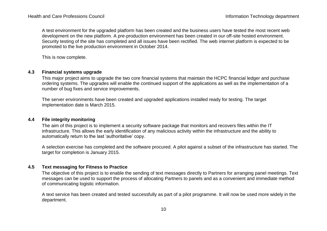A test environment for the upgraded platform has been created and the business users have tested the most recent web development on the new platform. A pre-production environment has been created in our off-site hosted environment. Security testing of the site has completed and all issues have been rectified. The web internet platform is expected to be promoted to the live production environment in October 2014.

This is now complete.

#### **4.3 Financial systems upgrade**

This major project aims to upgrade the two core financial systems that maintain the HCPC financial ledger and purchase ordering systems. The upgrades will enable the continued support of the applications as well as the implementation of a number of bug fixes and service improvements.

The server environments have been created and upgraded applications installed ready for testing. The target implementation date is March 2015.

#### **4.4 File integrity monitoring**

The aim of this project is to implement a security software package that monitors and recovers files within the IT infrastructure. This allows the early identification of any malicious activity within the infrastructure and the ability to automatically return to the last 'authoritative' copy.

A selection exercise has completed and the software procured. A pilot against a subset of the infrastructure has started. The target for completion is January 2015.

#### **4.5 Text messaging for Fitness to Practice**

The objective of this project is to enable the sending of text messages directly to Partners for arranging panel meetings. Text messages can be used to support the process of allocating Partners to panels and as a convenient and immediate method of communicating logistic information.

A text service has been created and tested successfully as part of a pilot programme. It will now be used more widely in the department.